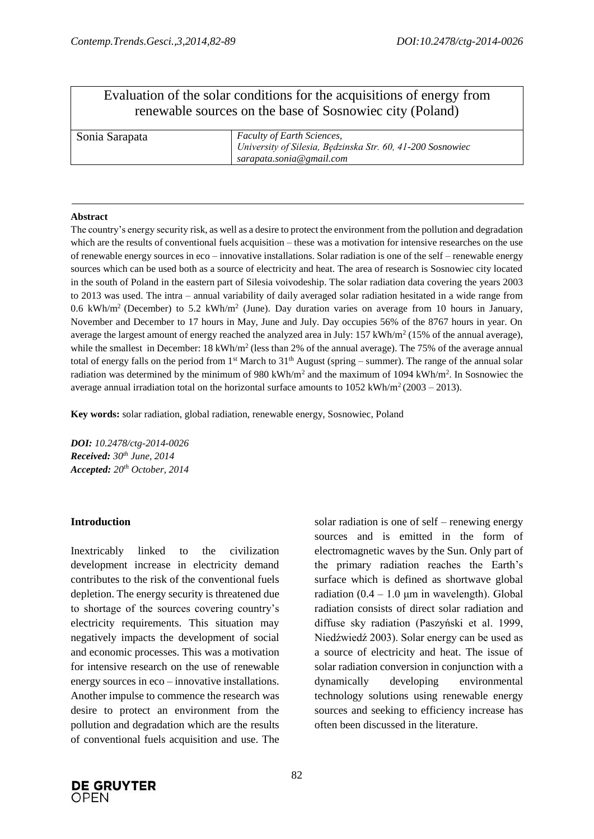# Evaluation of the solar conditions for the acquisitions of energy from renewable sources on the base of Sosnowiec city (Poland)

| Sonia Sarapata | <b>Faculty of Earth Sciences,</b>                          |
|----------------|------------------------------------------------------------|
|                | University of Silesia, Będzinska Str. 60, 41-200 Sosnowiec |
|                | sarapata.sonia@gmail.com                                   |

#### **Abstract**

The country's energy security risk, as well as a desire to protect the environment from the pollution and degradation which are the results of conventional fuels acquisition – these was a motivation for intensive researches on the use of renewable energy sources in eco – innovative installations. Solar radiation is one of the self – renewable energy sources which can be used both as a source of electricity and heat. The area of research is Sosnowiec city located in the south of Poland in the eastern part of Silesia voivodeship. The solar radiation data covering the years 2003 to 2013 was used. The intra – annual variability of daily averaged solar radiation hesitated in a wide range from 0.6 kWh/m<sup>2</sup> (December) to 5.2 kWh/m<sup>2</sup> (June). Day duration varies on average from 10 hours in January, November and December to 17 hours in May, June and July. Day occupies 56% of the 8767 hours in year. On average the largest amount of energy reached the analyzed area in July:  $157$  kWh/m<sup>2</sup> (15% of the annual average), while the smallest in December: 18 kWh/m<sup>2</sup> (less than 2% of the annual average). The 75% of the average annual total of energy falls on the period from  $1<sup>st</sup>$  March to  $31<sup>th</sup>$  August (spring – summer). The range of the annual solar radiation was determined by the minimum of 980 kWh/m<sup>2</sup> and the maximum of 1094 kWh/m<sup>2</sup>. In Sosnowiec the average annual irradiation total on the horizontal surface amounts to  $1052 \text{ kWh/m}^2 (2003 - 2013)$ .

**Key words:** solar radiation, global radiation, renewable energy, Sosnowiec, Poland

*DOI: 10.2478/ctg-2014-0026 Received: 30th June, 2014 Accepted: 20th October, 2014*

### **Introduction**

Inextricably linked to the civilization development increase in electricity demand contributes to the risk of the conventional fuels depletion. The energy security is threatened due to shortage of the sources covering country's electricity requirements. This situation may negatively impacts the development of social and economic processes. This was a motivation for intensive research on the use of renewable energy sources in eco – innovative installations. Another impulse to commence the research was desire to protect an environment from the pollution and degradation which are the results of conventional fuels acquisition and use. The sources and is emitted in the form of electromagnetic waves by the Sun. Only part of the primary radiation reaches the Earth's surface which is defined as shortwave global radiation  $(0.4 - 1.0 \mu m)$  in wavelength). Global radiation consists of direct solar radiation and diffuse sky radiation (Paszyński et al. 1999, Niedźwiedź 2003). Solar energy can be used as a source of electricity and heat. The issue of solar radiation conversion in conjunction with a dynamically developing environmental technology solutions using renewable energy sources and seeking to efficiency increase has often been discussed in the literature.

solar radiation is one of self – renewing energy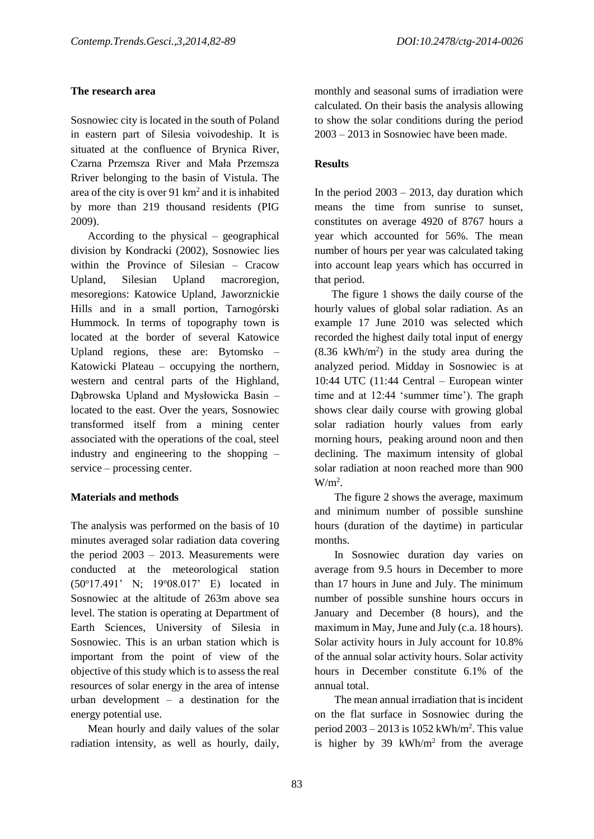## **The research area**

Sosnowiec city is located in the south of Poland in eastern part of Silesia voivodeship. It is situated at the confluence of Brynica River, Czarna Przemsza River and Mała Przemsza Rriver belonging to the basin of Vistula. The area of the city is over 91  $km<sup>2</sup>$  and it is inhabited by more than 219 thousand residents (PIG 2009).

According to the physical – geographical division by Kondracki (2002), Sosnowiec lies within the Province of Silesian – Cracow Upland, Silesian Upland macroregion, mesoregions: Katowice Upland, Jaworznickie Hills and in a small portion, Tarnogórski Hummock. In terms of topography town is located at the border of several Katowice Upland regions, these are: Bytomsko – Katowicki Plateau – occupying the northern, western and central parts of the Highland, Dąbrowska Upland and Mysłowicka Basin – located to the east. Over the years, Sosnowiec transformed itself from a mining center associated with the operations of the coal, steel industry and engineering to the shopping – service – processing center.

### **Materials and methods**

The analysis was performed on the basis of 10 minutes averaged solar radiation data covering the period 2003 – 2013. Measurements were conducted at the meteorological station (50<sup>o</sup>17.491' N; 19<sup>o</sup>08.017' E) located in Sosnowiec at the altitude of 263m above sea level. The station is operating at Department of Earth Sciences, University of Silesia in Sosnowiec. This is an urban station which is important from the point of view of the objective of this study which is to assess the real resources of solar energy in the area of intense urban development – a destination for the energy potential use.

Mean hourly and daily values of the solar radiation intensity, as well as hourly, daily,

monthly and seasonal sums of irradiation were calculated. On their basis the analysis allowing to show the solar conditions during the period 2003 – 2013 in Sosnowiec have been made.

## **Results**

In the period  $2003 - 2013$ , day duration which means the time from sunrise to sunset, constitutes on average 4920 of 8767 hours a year which accounted for 56%. The mean number of hours per year was calculated taking into account leap years which has occurred in that period.

The figure 1 shows the daily course of the hourly values of global solar radiation. As an example 17 June 2010 was selected which recorded the highest daily total input of energy  $(8.36 \text{ kWh/m}^2)$  in the study area during the analyzed period. Midday in Sosnowiec is at 10:44 UTC (11:44 Central – European winter time and at 12:44 'summer time'). The graph shows clear daily course with growing global solar radiation hourly values from early morning hours, peaking around noon and then declining. The maximum intensity of global solar radiation at noon reached more than 900  $W/m<sup>2</sup>$ .

The figure 2 shows the average, maximum and minimum number of possible sunshine hours (duration of the daytime) in particular months.

In Sosnowiec duration day varies on average from 9.5 hours in December to more than 17 hours in June and July. The minimum number of possible sunshine hours occurs in January and December (8 hours), and the maximum in May, June and July (c.a. 18 hours). Solar activity hours in July account for 10.8% of the annual solar activity hours. Solar activity hours in December constitute 6.1% of the annual total.

The mean annual irradiation that is incident on the flat surface in Sosnowiec during the period  $2003 - 2013$  is 1052 kWh/m<sup>2</sup>. This value is higher by 39 kWh/ $m<sup>2</sup>$  from the average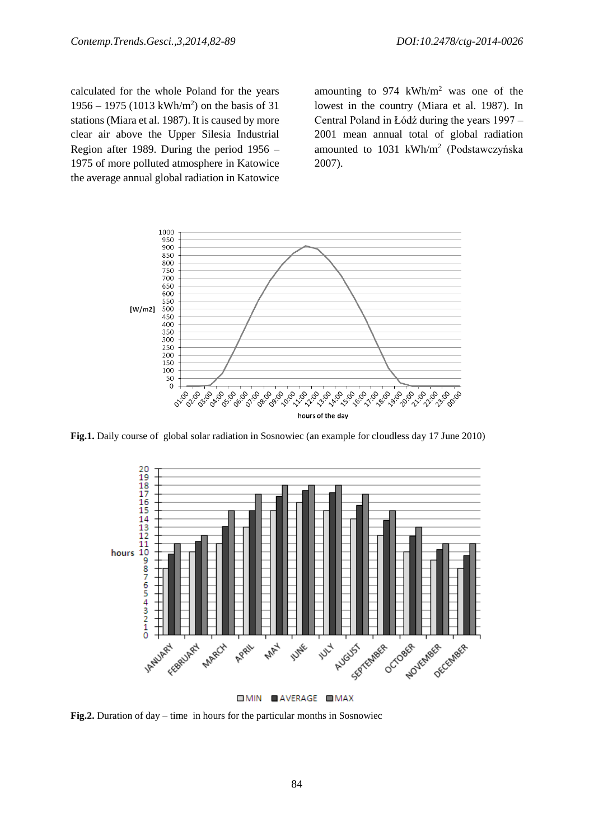calculated for the whole Poland for the years 1956 – 1975 (1013 kWh/m<sup>2</sup> ) on the basis of 31 stations (Miara et al. 1987). It is caused by more clear air above the Upper Silesia Industrial Region after 1989. During the period 1956 – 1975 of more polluted atmosphere in Katowice the average annual global radiation in Katowice

amounting to  $974 \text{ kWh/m}^2$  was one of the lowest in the country (Miara et al. 1987). In Central Poland in Łódź during the years 1997 – 2001 mean annual total of global radiation amounted to 1031 kWh/m<sup>2</sup> (Podstawczyńska 2007).



**Fig.1.** Daily course of global solar radiation in Sosnowiec (an example for cloudless day 17 June 2010)



**OMIN OAVERAGE OMAX** 

**Fig.2.** Duration of day – time in hours for the particular months in Sosnowiec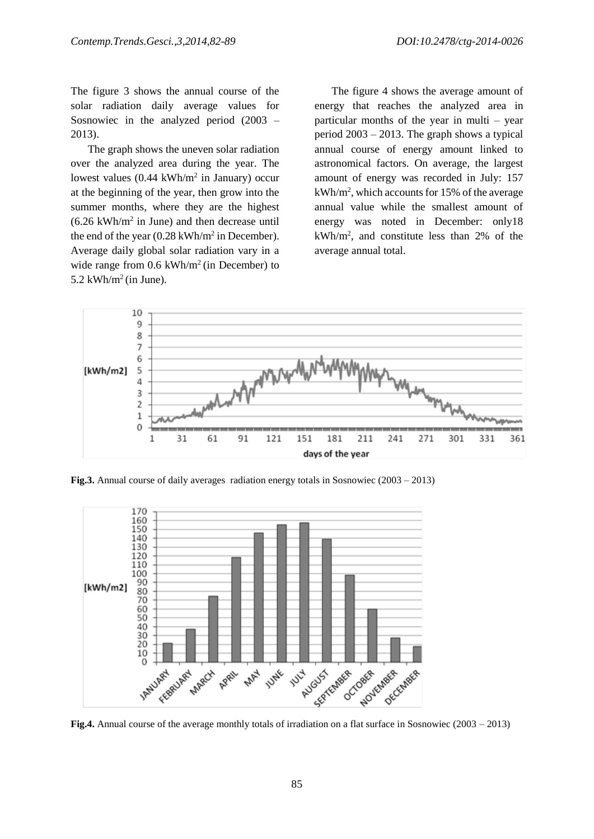The figure 3 shows the annual course of the solar radiation daily average values for Sosnowiec in the analyzed period (2003 – 2013).

The graph shows the uneven solar radiation over the analyzed area during the year. The lowest values  $(0.44 \text{ kWh/m}^2 \text{ in January})$  occur at the beginning of the year, then grow into the summer months, where they are the highest  $(6.26 \text{ kWh/m}^2 \text{ in June})$  and then decrease until the end of the year  $(0.28 \text{ kWh/m}^2 \text{ in December}).$ Average daily global solar radiation vary in a wide range from  $0.6$  kWh/m<sup>2</sup> (in December) to 5.2 kWh/ $m^2$ (in June).

The figure 4 shows the average amount of energy that reaches the analyzed area in particular months of the year in multi – year period 2003 – 2013. The graph shows a typical annual course of energy amount linked to astronomical factors. On average, the largest amount of energy was recorded in July: 157 kWh/m<sup>2</sup> , which accounts for 15% of the average annual value while the smallest amount of energy was noted in December: only18 kWh/m<sup>2</sup> , and constitute less than 2% of the average annual total.



**Fig.3.** Annual course of daily averages radiation energy totals in Sosnowiec (2003 – 2013)



**Fig.4.** Annual course of the average monthly totals of irradiation on a flat surface in Sosnowiec (2003 – 2013)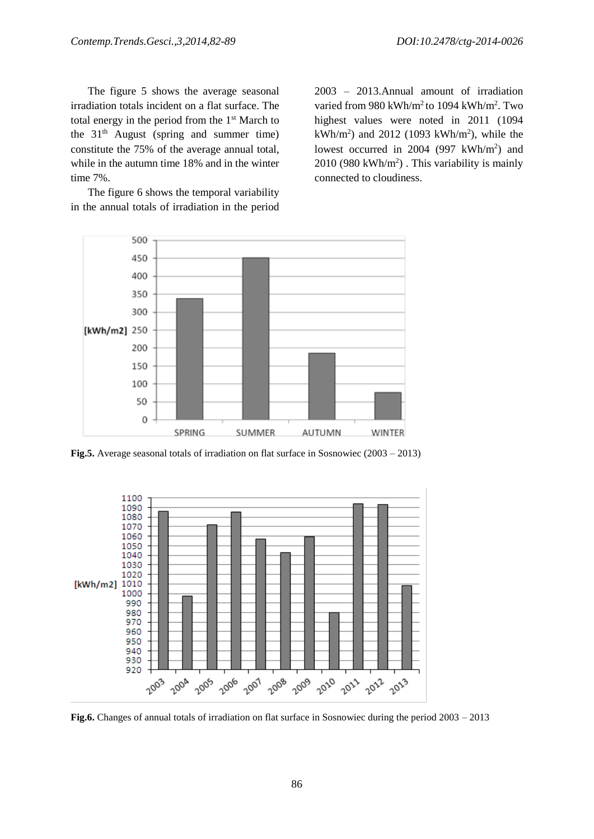The figure 5 shows the average seasonal irradiation totals incident on a flat surface. The total energy in the period from the  $1<sup>st</sup>$  March to the  $31<sup>th</sup>$  August (spring and summer time) constitute the 75% of the average annual total, while in the autumn time 18% and in the winter time 7%.

The figure 6 shows the temporal variability in the annual totals of irradiation in the period

2003 – 2013.Annual amount of irradiation varied from 980 kWh/m<sup>2</sup> to 1094 kWh/m<sup>2</sup>. Two highest values were noted in 2011 (1094  $kWh/m^2$ ) and 2012 (1093 kWh/m<sup>2</sup>), while the lowest occurred in 2004 (997  $kWh/m<sup>2</sup>$ ) and  $2010$  (980 kWh/m<sup>2</sup>). This variability is mainly connected to cloudiness.



**Fig.5.** Average seasonal totals of irradiation on flat surface in Sosnowiec (2003 – 2013)



**Fig.6.** Changes of annual totals of irradiation on flat surface in Sosnowiec during the period 2003 – 2013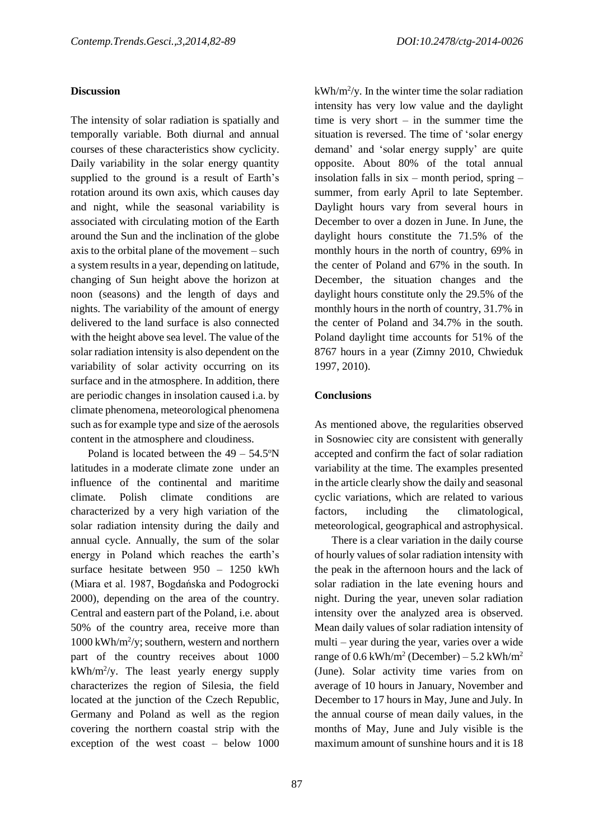### **Discussion**

The intensity of solar radiation is spatially and temporally variable. Both diurnal and annual courses of these characteristics show cyclicity. Daily variability in the solar energy quantity supplied to the ground is a result of Earth's rotation around its own axis, which causes day and night, while the seasonal variability is associated with circulating motion of the Earth around the Sun and the inclination of the globe axis to the orbital plane of the movement – such a system results in a year, depending on latitude, changing of Sun height above the horizon at noon (seasons) and the length of days and nights. The variability of the amount of energy delivered to the land surface is also connected with the height above sea level. The value of the solar radiation intensity is also dependent on the variability of solar activity occurring on its surface and in the atmosphere. In addition, there are periodic changes in insolation caused i.a. by climate phenomena, meteorological phenomena such as for example type and size of the aerosols content in the atmosphere and cloudiness.

Poland is located between the  $49 - 54.5^{\circ}$ N latitudes in a moderate climate zone under an influence of the continental and maritime climate. Polish climate conditions are characterized by a very high variation of the solar radiation intensity during the daily and annual cycle. Annually, the sum of the solar energy in Poland which reaches the earth's surface hesitate between 950 – 1250 kWh (Miara et al. 1987, Bogdańska and Podogrocki 2000), depending on the area of the country. Central and eastern part of the Poland, i.e. about 50% of the country area, receive more than 1000 kWh/m<sup>2</sup> /y; southern, western and northern part of the country receives about 1000 kWh/m<sup>2</sup> /y. The least yearly energy supply characterizes the region of Silesia, the field located at the junction of the Czech Republic, Germany and Poland as well as the region covering the northern coastal strip with the exception of the west coast – below 1000

 $kWh/m^2/y$ . In the winter time the solar radiation intensity has very low value and the daylight time is very short – in the summer time the situation is reversed. The time of 'solar energy demand' and 'solar energy supply' are quite opposite. About 80% of the total annual insolation falls in six – month period, spring – summer, from early April to late September. Daylight hours vary from several hours in December to over a dozen in June. In June, the daylight hours constitute the 71.5% of the monthly hours in the north of country, 69% in the center of Poland and 67% in the south. In December, the situation changes and the daylight hours constitute only the 29.5% of the monthly hours in the north of country, 31.7% in the center of Poland and 34.7% in the south. Poland daylight time accounts for 51% of the 8767 hours in a year (Zimny 2010, Chwieduk 1997, 2010).

### **Conclusions**

As mentioned above, the regularities observed in Sosnowiec city are consistent with generally accepted and confirm the fact of solar radiation variability at the time. The examples presented in the article clearly show the daily and seasonal cyclic variations, which are related to various factors, including the climatological, meteorological, geographical and astrophysical.

There is a clear variation in the daily course of hourly values of solar radiation intensity with the peak in the afternoon hours and the lack of solar radiation in the late evening hours and night. During the year, uneven solar radiation intensity over the analyzed area is observed. Mean daily values of solar radiation intensity of multi – year during the year, varies over a wide range of  $0.6 \text{ kWh/m}^2$  (December) – 5.2 kWh/m<sup>2</sup> (June). Solar activity time varies from on average of 10 hours in January, November and December to 17 hours in May, June and July. In the annual course of mean daily values, in the months of May, June and July visible is the maximum amount of sunshine hours and it is 18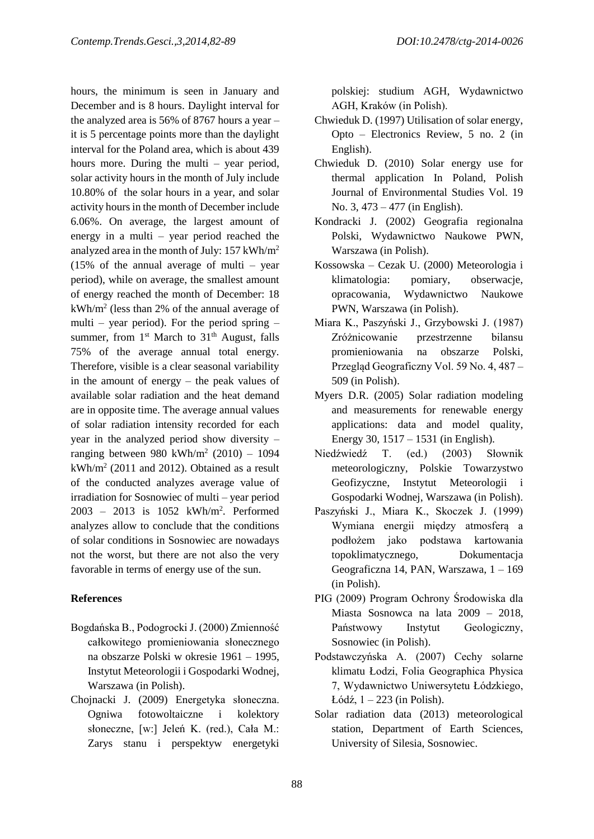hours, the minimum is seen in January and December and is 8 hours. Daylight interval for the analyzed area is 56% of 8767 hours a year – it is 5 percentage points more than the daylight interval for the Poland area, which is about 439 hours more. During the multi – year period, solar activity hours in the month of July include 10.80% of the solar hours in a year, and solar activity hours in the month of December include 6.06%. On average, the largest amount of energy in a multi – year period reached the analyzed area in the month of July: 157 kWh/m<sup>2</sup>  $(15\% \text{ of the annual average of multi - year})$ period), while on average, the smallest amount of energy reached the month of December: 18  $kWh/m^2$  (less than 2% of the annual average of multi – year period). For the period spring – summer, from  $1<sup>st</sup>$  March to  $31<sup>th</sup>$  August, falls 75% of the average annual total energy. Therefore, visible is a clear seasonal variability in the amount of energy – the peak values of available solar radiation and the heat demand are in opposite time. The average annual values of solar radiation intensity recorded for each year in the analyzed period show diversity – ranging between 980 kWh/m<sup>2</sup> (2010) – 1094 kWh/m<sup>2</sup> (2011 and 2012). Obtained as a result of the conducted analyzes average value of irradiation for Sosnowiec of multi – year period 2003 – 2013 is 1052 kWh/m<sup>2</sup> . Performed analyzes allow to conclude that the conditions of solar conditions in Sosnowiec are nowadays not the worst, but there are not also the very favorable in terms of energy use of the sun.

## **References**

- Bogdańska B., Podogrocki J. (2000) Zmienność całkowitego promieniowania słonecznego na obszarze Polski w okresie 1961 – 1995, Instytut Meteorologii i Gospodarki Wodnej, Warszawa (in Polish).
- Chojnacki J. (2009) Energetyka słoneczna. Ogniwa fotowoltaiczne i kolektory słoneczne, [w:] Jeleń K. (red.), Cała M.: Zarys stanu i perspektyw energetyki

polskiej: studium AGH, Wydawnictwo AGH, Kraków (in Polish).

- Chwieduk D. (1997) Utilisation of solar energy, Opto – Electronics Review, 5 no. 2 (in English).
- Chwieduk D. (2010) Solar energy use for thermal application In Poland, Polish Journal of Environmental Studies Vol. 19 No. 3, 473 – 477 (in English).
- Kondracki J. (2002) Geografia regionalna Polski, Wydawnictwo Naukowe PWN, Warszawa (in Polish).
- Kossowska Cezak U. (2000) Meteorologia i klimatologia: pomiary, obserwacje, opracowania, Wydawnictwo Naukowe PWN, Warszawa (in Polish).
- Miara K., Paszyński J., Grzybowski J. (1987) Zróżnicowanie przestrzenne bilansu promieniowania na obszarze Polski, Przegląd Geograficzny Vol. 59 No. 4, 487 – 509 (in Polish).
- Myers D.R. (2005) Solar radiation modeling and measurements for renewable energy applications: data and model quality, Energy 30, 1517 – 1531 (in English).
- Niedźwiedź T. (ed.) (2003) Słownik meteorologiczny, Polskie Towarzystwo Geofizyczne, Instytut Meteorologii i Gospodarki Wodnej, Warszawa (in Polish).
- Paszyński J., Miara K., Skoczek J. (1999) Wymiana energii między atmosferą a podłożem jako podstawa kartowania topoklimatycznego, Dokumentacja Geograficzna 14, PAN, Warszawa, 1 – 169 (in Polish).
- PIG (2009) Program Ochrony Środowiska dla Miasta Sosnowca na lata 2009 – 2018, Państwowy Instytut Geologiczny, Sosnowiec (in Polish).
- Podstawczyńska A. (2007) Cechy solarne klimatu Łodzi, Folia Geographica Physica 7, Wydawnictwo Uniwersytetu Łódzkiego, Łódź, 1 – 223 (in Polish).
- Solar radiation data (2013) meteorological station, Department of Earth Sciences, University of Silesia, Sosnowiec.